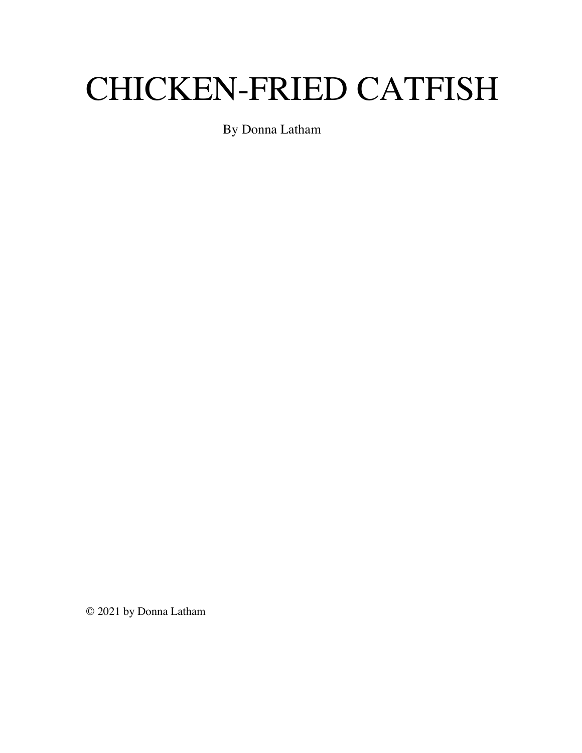# CHICKEN-FRIED CATFISH

By Donna Latham

© 2021 by Donna Latham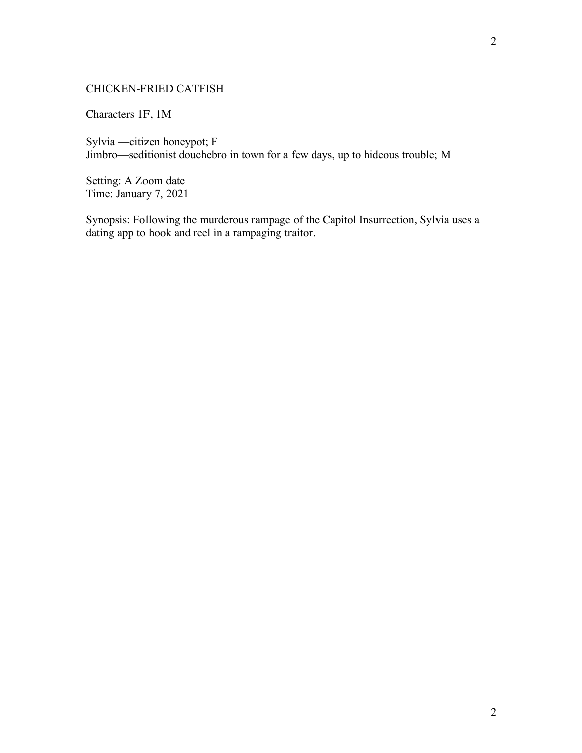# CHICKEN-FRIED CATFISH

Characters 1F, 1M

Sylvia —citizen honeypot; F Jimbro—seditionist douchebro in town for a few days, up to hideous trouble; M

Setting: A Zoom date Time: January 7, 2021

Synopsis: Following the murderous rampage of the Capitol Insurrection, Sylvia uses a dating app to hook and reel in a rampaging traitor.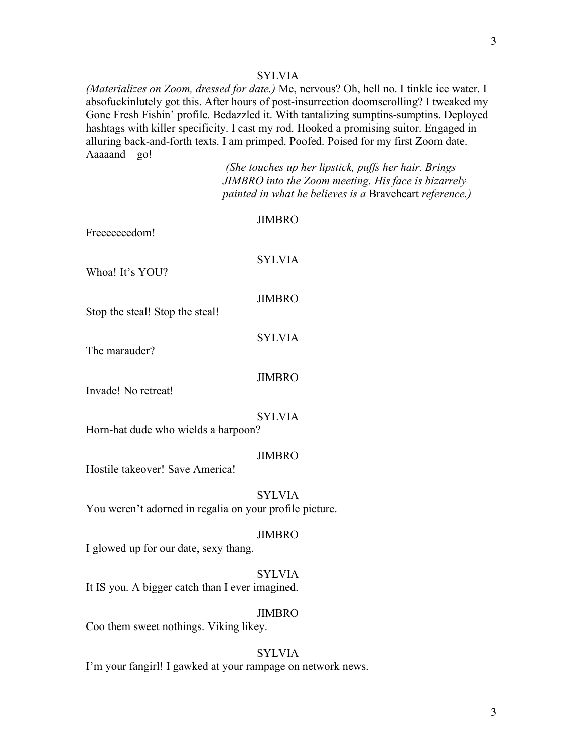# **SYLVIA**

*(Materializes on Zoom, dressed for date.)* Me, nervous? Oh, hell no. I tinkle ice water. I absofuckinlutely got this. After hours of post-insurrection doomscrolling? I tweaked my Gone Fresh Fishin' profile. Bedazzled it. With tantalizing sumptins-sumptins. Deployed hashtags with killer specificity. I cast my rod. Hooked a promising suitor. Engaged in alluring back-and-forth texts. I am primped. Poofed. Poised for my first Zoom date. Aaaaand—go!

> *(She touches up her lipstick, puffs her hair. Brings JIMBRO into the Zoom meeting. His face is bizarrely painted in what he believes is a* Braveheart *reference.)*

| Freeeeeedom!                                            | <b>JIMBRO</b> |
|---------------------------------------------------------|---------------|
| Whoa! It's YOU?                                         | <b>SYLVIA</b> |
| Stop the steal! Stop the steal!                         | <b>JIMBRO</b> |
| The marauder?                                           | <b>SYLVIA</b> |
|                                                         | <b>JIMBRO</b> |
| Invade! No retreat!                                     | <b>SYLVIA</b> |
| Horn-hat dude who wields a harpoon?                     |               |
| Hostile takeover! Save America!                         | <b>JIMBRO</b> |
| You weren't adorned in regalia on your profile picture. | <b>SYLVIA</b> |
| I glowed up for our date, sexy thang.                   | <b>JIMBRO</b> |
| It IS you. A bigger catch than I ever imagined.         | <b>SYLVIA</b> |
| Coo them sweet nothings. Viking likey.                  | <b>JIMBRO</b> |
|                                                         |               |

# SYLVIA

I'm your fangirl! I gawked at your rampage on network news.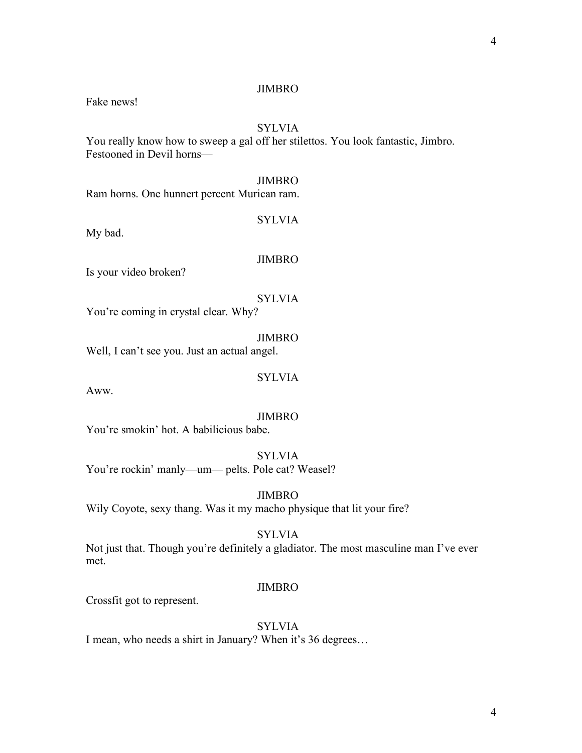Fake news!

# SYLVIA

You really know how to sweep a gal off her stilettos. You look fantastic, Jimbro. Festooned in Devil horns—

#### JIMBRO

Ram horns. One hunnert percent Murican ram.

SYLVIA

My bad.

#### JIMBRO

Is your video broken?

SYLVIA You're coming in crystal clear. Why?

JIMBRO

Well, I can't see you. Just an actual angel.

# **SYLVIA**

Aww.

#### JIMBRO

You're smokin' hot. A babilicious babe.

**SYLVIA** You're rockin' manly—um— pelts. Pole cat? Weasel?

JIMBRO

Wily Coyote, sexy thang. Was it my macho physique that lit your fire?

# **SYLVIA**

Not just that. Though you're definitely a gladiator. The most masculine man I've ever met.

# JIMBRO

Crossfit got to represent.

# SYLVIA

I mean, who needs a shirt in January? When it's 36 degrees…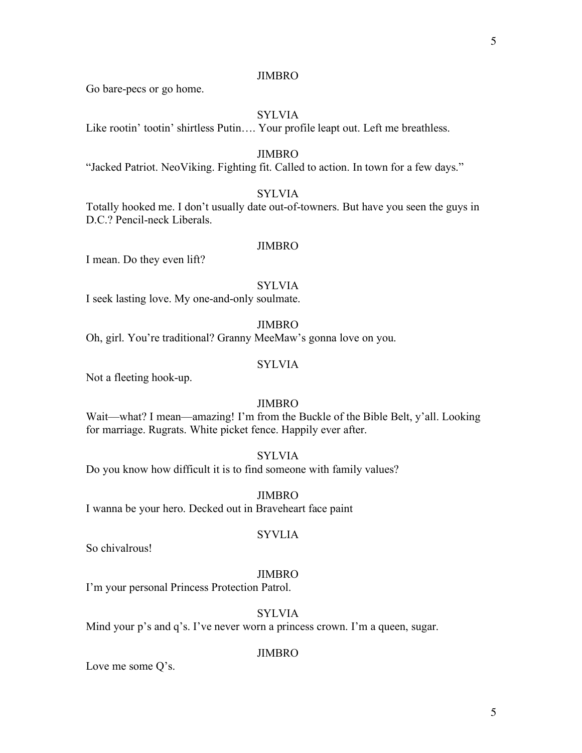Go bare-pecs or go home.

# SYLVIA

Like rootin' tootin' shirtless Putin…. Your profile leapt out. Left me breathless.

#### JIMBRO

"Jacked Patriot. NeoViking. Fighting fit. Called to action. In town for a few days."

#### **SYLVIA**

Totally hooked me. I don't usually date out-of-towners. But have you seen the guys in D.C.? Pencil-neck Liberals.

## JIMBRO

I mean. Do they even lift?

SYLVIA

I seek lasting love. My one-and-only soulmate.

JIMBRO

Oh, girl. You're traditional? Granny MeeMaw's gonna love on you.

## **SYLVIA**

Not a fleeting hook-up.

# JIMBRO

Wait—what? I mean—amazing! I'm from the Buckle of the Bible Belt, y'all. Looking for marriage. Rugrats. White picket fence. Happily ever after.

## **SYLVIA**

Do you know how difficult it is to find someone with family values?

JIMBRO I wanna be your hero. Decked out in Braveheart face paint

#### **SYVLIA**

So chivalrous!

#### JIMBRO

I'm your personal Princess Protection Patrol.

# **SYLVIA**

Mind your p's and q's. I've never worn a princess crown. I'm a queen, sugar.

## JIMBRO

Love me some Q's.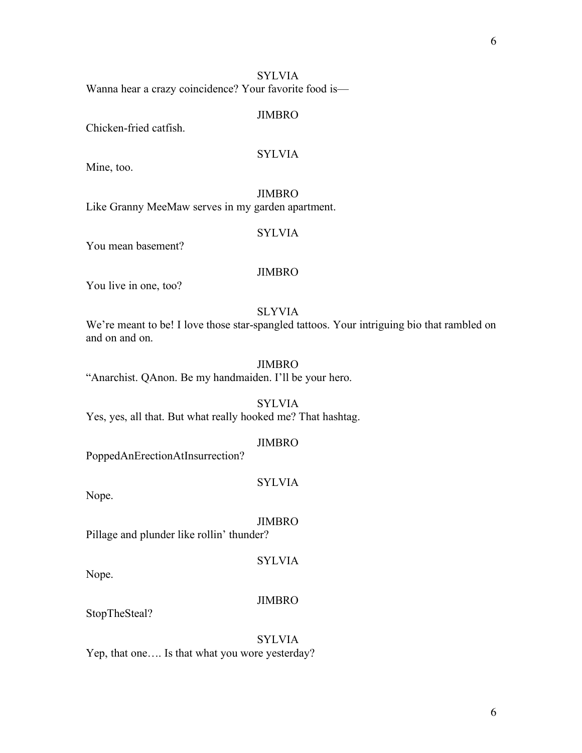# SYLVIA Wanna hear a crazy coincidence? Your favorite food is—

## JIMBRO

Chicken-fried catfish.

# SYLVIA

Mine, too.

# JIMBRO

Like Granny MeeMaw serves in my garden apartment.

# SYLVIA

You mean basement?

# JIMBRO

You live in one, too?

## SLYVIA

We're meant to be! I love those star-spangled tattoos. Your intriguing bio that rambled on and on and on.

# JIMBRO

"Anarchist. QAnon. Be my handmaiden. I'll be your hero.

SYLVIA

Yes, yes, all that. But what really hooked me? That hashtag.

## JIMBRO

PoppedAnErectionAtInsurrection?

# **SYLVIA**

Nope.

JIMBRO

Pillage and plunder like rollin' thunder?

# **SYLVIA**

Nope.

## JIMBRO

StopTheSteal?

## SYLVIA

Yep, that one…. Is that what you wore yesterday?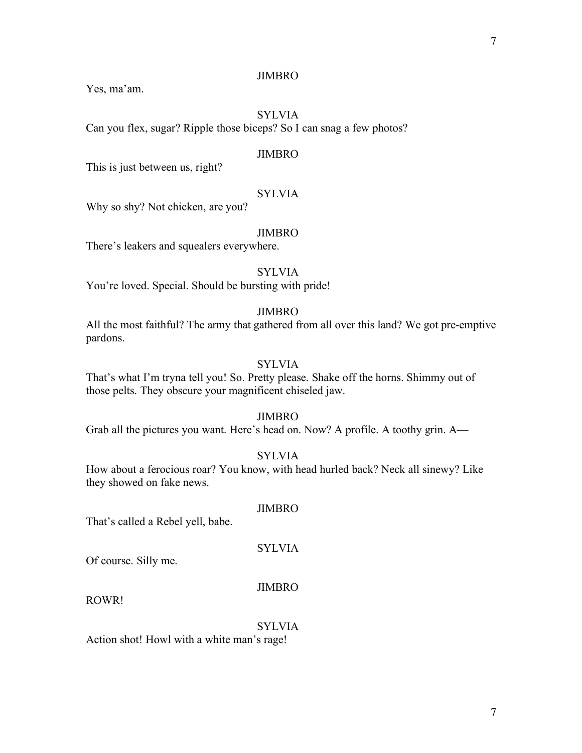Yes, ma'am.

# SYLVIA

Can you flex, sugar? Ripple those biceps? So I can snag a few photos?

#### JIMBRO

This is just between us, right?

## SYLVIA

Why so shy? Not chicken, are you?

#### JIMBRO

There's leakers and squealers everywhere.

# **SYLVIA**

You're loved. Special. Should be bursting with pride!

## JIMBRO

All the most faithful? The army that gathered from all over this land? We got pre-emptive pardons.

# SYLVIA

That's what I'm tryna tell you! So. Pretty please. Shake off the horns. Shimmy out of those pelts. They obscure your magnificent chiseled jaw.

#### JIMBRO

Grab all the pictures you want. Here's head on. Now? A profile. A toothy grin. A—

# SYLVIA

JIMBRO

SYLVIA

How about a ferocious roar? You know, with head hurled back? Neck all sinewy? Like they showed on fake news.

# That's called a Rebel yell, babe.

Of course. Silly me.

#### JIMBRO

ROWR!

# **SYLVIA**

Action shot! Howl with a white man's rage!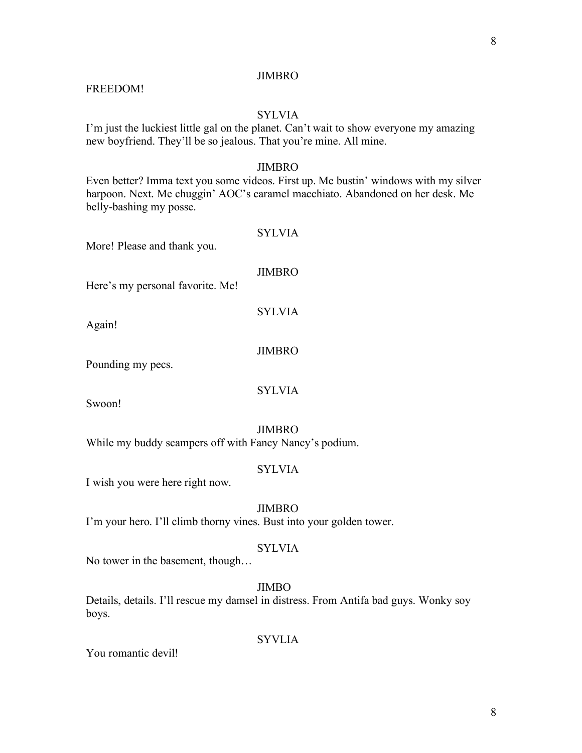# FREEDOM!

# **SYLVIA**

I'm just the luckiest little gal on the planet. Can't wait to show everyone my amazing new boyfriend. They'll be so jealous. That you're mine. All mine.

## JIMBRO

Even better? Imma text you some videos. First up. Me bustin' windows with my silver harpoon. Next. Me chuggin' AOC's caramel macchiato. Abandoned on her desk. Me belly-bashing my posse.

| More! Please and thank you.                            | <b>SYLVIA</b> |
|--------------------------------------------------------|---------------|
| Here's my personal favorite. Me!                       | <b>JIMBRO</b> |
| Again!                                                 | <b>SYLVIA</b> |
| Pounding my pecs.                                      | <b>JIMBRO</b> |
| Swoon!                                                 | <b>SYLVIA</b> |
|                                                        | <b>JIMBRO</b> |
| While my buddy scampers off with Fancy Nancy's podium. | SYLVIA        |

I wish you were here right now.

## JIMBRO

I'm your hero. I'll climb thorny vines. Bust into your golden tower.

## SYLVIA

No tower in the basement, though…

# JIMBO

Details, details. I'll rescue my damsel in distress. From Antifa bad guys. Wonky soy boys.

# **SYVLIA**

You romantic devil!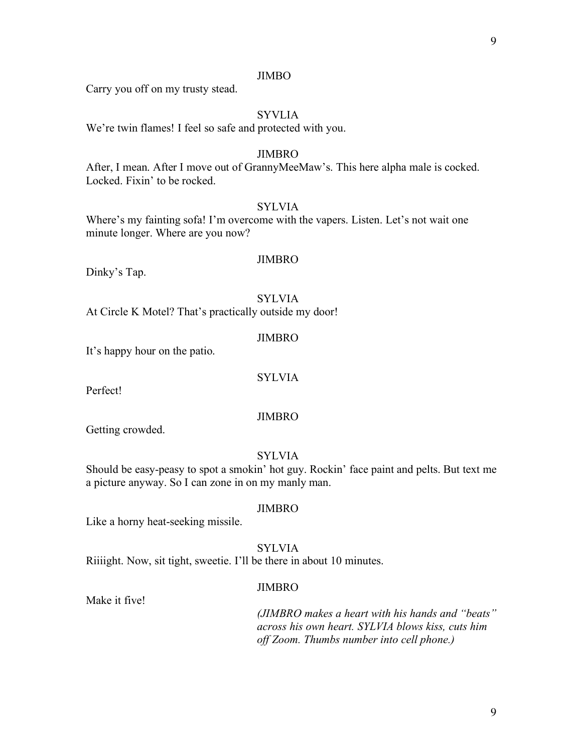Carry you off on my trusty stead.

# SYVLIA

We're twin flames! I feel so safe and protected with you.

#### JIMBRO

After, I mean. After I move out of GrannyMeeMaw's. This here alpha male is cocked. Locked. Fixin' to be rocked.

# SYLVIA

Where's my fainting sofa! I'm overcome with the vapers. Listen. Let's not wait one minute longer. Where are you now?

#### JIMBRO

Dinky's Tap.

#### **SYLVIA**

At Circle K Motel? That's practically outside my door!

#### JIMBRO

It's happy hour on the patio.

SYLVIA

Perfect!

#### JIMBRO

Getting crowded.

# **SYLVIA**

Should be easy-peasy to spot a smokin' hot guy. Rockin' face paint and pelts. But text me a picture anyway. So I can zone in on my manly man.

## JIMBRO

Like a horny heat-seeking missile.

SYLVIA Riiiight. Now, sit tight, sweetie. I'll be there in about 10 minutes.

#### JIMBRO

Make it five!

*(JIMBRO makes a heart with his hands and "beats" across his own heart. SYLVIA blows kiss, cuts him off Zoom. Thumbs number into cell phone.)*